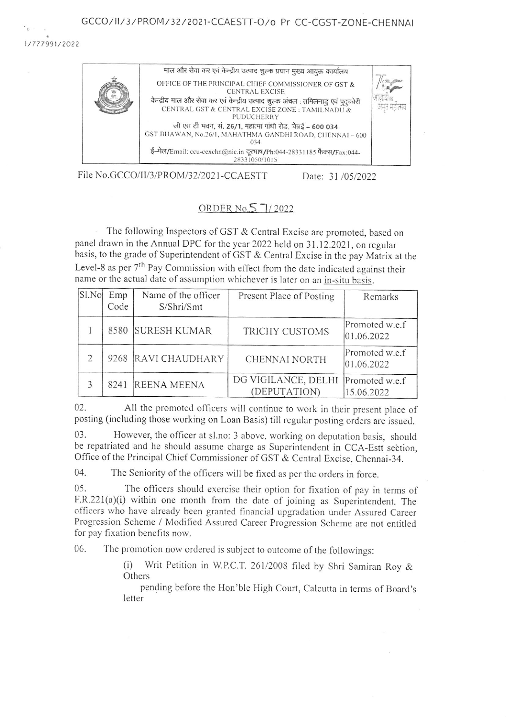### GCCO/II/3/PROM/32/2021-CCAESTT-O/o Pr CC-CGST-ZONE-CHENNAI

1/777991/2022



File No.GCCO/II/3/PROM/32/2021-CCAESTT

Date: 31/05/2022

# ORDER No.5 7/2022

The following Inspectors of GST & Central Excise are promoted, based on panel drawn in the Annual DPC for the year 2022 held on 31.12.2021, on regular basis, to the grade of Superintendent of GST & Central Excise in the pay Matrix at the Level-8 as per 7<sup>th</sup> Pay Commission with effect from the date indicated against their name or the actual date of assumption whichever is later on an in-situ basis.

| S1.No         | Emp<br>Code | Name of the officer<br>S/Shri/Smt | Present Place of Posting            | Remarks                      |
|---------------|-------------|-----------------------------------|-------------------------------------|------------------------------|
|               | 8580        | <b>SURESH KUMAR</b>               | TRICHY CUSTOMS                      | Promoted w.e.f<br>01.06.2022 |
| $\mathcal{D}$ |             | 9268 RAVI CHAUDHARY               | CHENNAI NORTH                       | Promoted w.e.f<br>01.06.2022 |
| 3             | 8241        | <b>REENA MEENA</b>                | DG VIGILANCE, DELHI<br>(DEPUTATION) | Promoted w.e.f<br>15.06.2022 |

 $02.$ All the promoted officers will continue to work in their present place of posting (including those working on Loan Basis) till regular posting orders are issued.

However, the officer at sl.no: 3 above, working on deputation basis, should 03. be repatriated and he should assume charge as Superintendent in CCA-Estt section, Office of the Principal Chief Commissioner of GST & Central Excise, Chennai-34.

04. The Seniority of the officers will be fixed as per the orders in force.

 $0.5<sup>1</sup>$ The officers should exercise their option for fixation of pay in terms of F.R.221(a)(i) within one month from the date of joining as Superintendent. The officers who have already been granted financial upgradation under Assured Career Progression Scheme / Modified Assured Career Progression Scheme are not entitled for pay fixation benefits now.

The promotion now ordered is subject to outcome of the followings: 06.

> (i) Writ Petition in W.P.C.T. 261/2008 filed by Shri Samiran Roy & Others

> pending before the Hon'ble High Court, Calcutta in terms of Board's letter